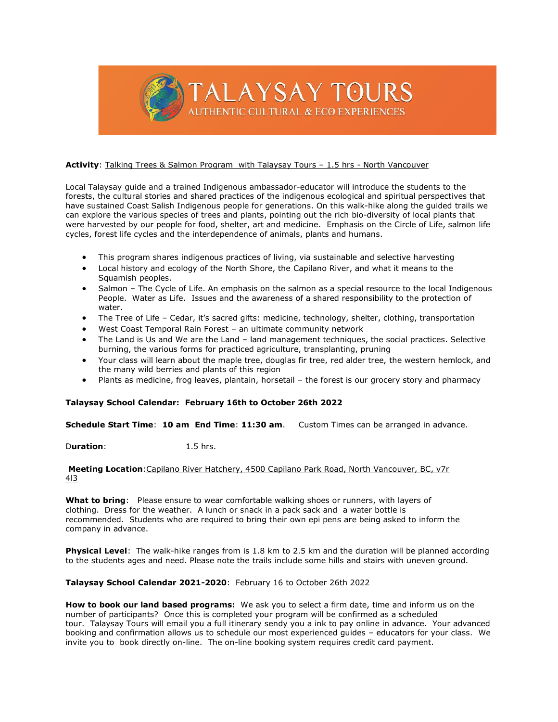

## **Activity**: Talking Trees & Salmon Program with Talaysay Tours – 1.5 hrs - North Vancouver

Local Talaysay guide and a trained Indigenous ambassador-educator will introduce the students to the forests, the cultural stories and shared practices of the indigenous ecological and spiritual perspectives that have sustained Coast Salish Indigenous people for generations. On this walk-hike along the guided trails we can explore the various species of trees and plants, pointing out the rich bio-diversity of local plants that were harvested by our people for food, shelter, art and medicine. Emphasis on the Circle of Life, salmon life cycles, forest life cycles and the interdependence of animals, plants and humans.

- This program shares indigenous practices of living, via sustainable and selective harvesting
- Local history and ecology of the North Shore, the Capilano River, and what it means to the Squamish peoples.
- Salmon The Cycle of Life. An emphasis on the salmon as a special resource to the local Indigenous People. Water as Life. Issues and the awareness of a shared responsibility to the protection of water.
- The Tree of Life Cedar, it's sacred gifts: medicine, technology, shelter, clothing, transportation
- West Coast Temporal Rain Forest an ultimate community network
- The Land is Us and We are the Land land management techniques, the social practices. Selective burning, the various forms for practiced agriculture, transplanting, pruning
- Your class will learn about the maple tree, douglas fir tree, red alder tree, the western hemlock, and the many wild berries and plants of this region
- Plants as medicine, frog leaves, plantain, horsetail the forest is our grocery story and pharmacy

# **Talaysay School Calendar: February 16th to October 26th 2022**

**Schedule Start Time**: **10 am End Time**: **11:30 am**. Custom Times can be arranged in advance.

Duration: 1.5 hrs.

### **Meeting Location**:Capilano River Hatchery, 4500 Capilano Park Road, North Vancouver, BC, v7r 4l3

**What to bring**: Please ensure to wear comfortable walking shoes or runners, with layers of clothing. Dress for the weather. A lunch or snack in a pack sack and a water bottle is recommended. Students who are required to bring their own epi pens are being asked to inform the company in advance.

**Physical Level**: The walk-hike ranges from is 1.8 km to 2.5 km and the duration will be planned according to the students ages and need. Please note the trails include some hills and stairs with uneven ground.

### **Talaysay School Calendar 2021-2020**: February 16 to October 26th 2022

**How to book our land based programs:** We ask you to select a firm date, time and inform us on the number of participants? Once this is completed your program will be confirmed as a scheduled tour. Talaysay Tours will email you a full itinerary sendy you a ink to pay online in advance. Your advanced booking and confirmation allows us to schedule our most experienced guides – educators for your class. We invite you to book directly on-line. The on-line booking system requires credit card payment.